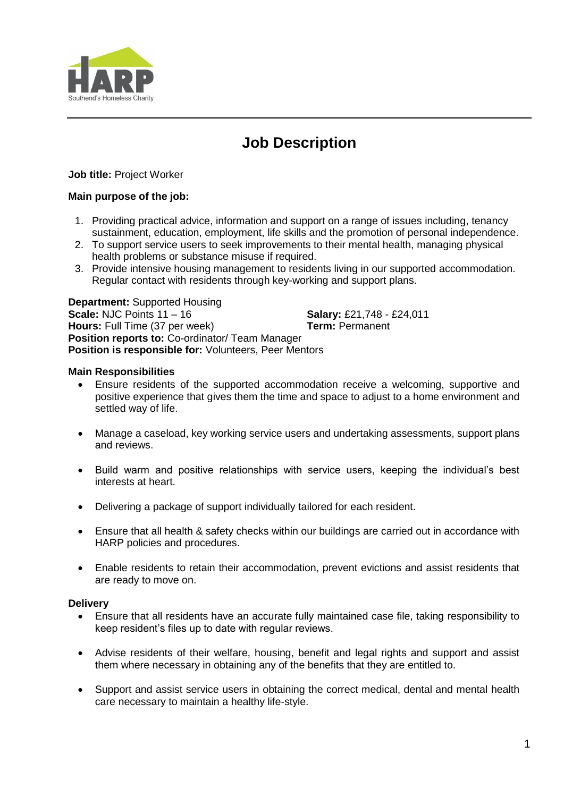

# **Job Description**

## **Job title:** Project Worker

## **Main purpose of the job:**

- 1. Providing practical advice, information and support on a range of issues including, tenancy sustainment, education, employment, life skills and the promotion of personal independence.
- 2. To support service users to seek improvements to their mental health, managing physical health problems or substance misuse if required.
- 3. Provide intensive housing management to residents living in our supported accommodation. Regular contact with residents through key-working and support plans.

**Department:** Supported Housing **Scale:** NJC Points 11 – 16 **Salary:** £21,748 - £24,011 **Hours:** Full Time (37 per week) **Term:** Permanent **Position reports to:** Co-ordinator/ Team Manager **Position is responsible for:** Volunteers, Peer Mentors

#### **Main Responsibilities**

- Ensure residents of the supported accommodation receive a welcoming, supportive and positive experience that gives them the time and space to adjust to a home environment and settled way of life.
- Manage a caseload, key working service users and undertaking assessments, support plans and reviews.
- Build warm and positive relationships with service users, keeping the individual's best interests at heart.
- Delivering a package of support individually tailored for each resident.
- Ensure that all health & safety checks within our buildings are carried out in accordance with HARP policies and procedures.
- Enable residents to retain their accommodation, prevent evictions and assist residents that are ready to move on.

## **Delivery**

- Ensure that all residents have an accurate fully maintained case file, taking responsibility to keep resident's files up to date with regular reviews.
- Advise residents of their welfare, housing, benefit and legal rights and support and assist them where necessary in obtaining any of the benefits that they are entitled to.
- Support and assist service users in obtaining the correct medical, dental and mental health care necessary to maintain a healthy life-style.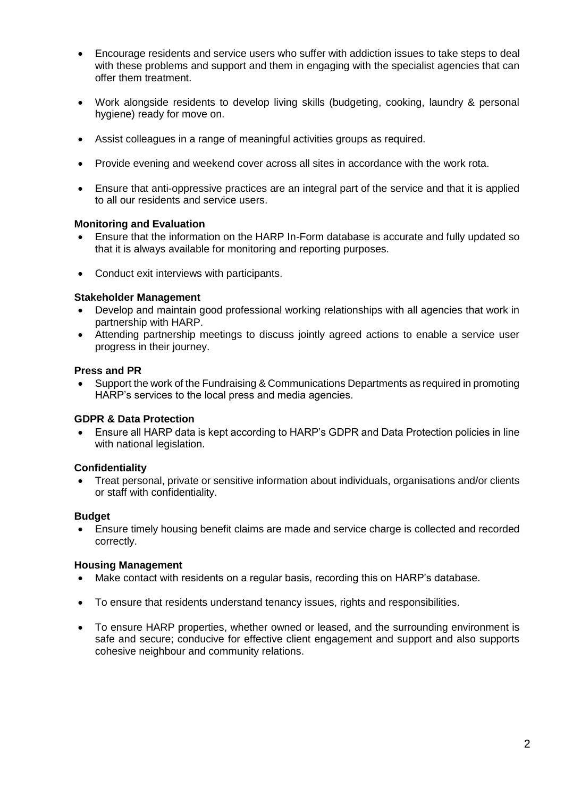- Encourage residents and service users who suffer with addiction issues to take steps to deal with these problems and support and them in engaging with the specialist agencies that can offer them treatment.
- Work alongside residents to develop living skills (budgeting, cooking, laundry & personal hygiene) ready for move on.
- Assist colleagues in a range of meaningful activities groups as required.
- Provide evening and weekend cover across all sites in accordance with the work rota.
- Ensure that anti-oppressive practices are an integral part of the service and that it is applied to all our residents and service users.

## **Monitoring and Evaluation**

- Ensure that the information on the HARP In-Form database is accurate and fully updated so that it is always available for monitoring and reporting purposes.
- Conduct exit interviews with participants.

#### **Stakeholder Management**

- Develop and maintain good professional working relationships with all agencies that work in partnership with HARP.
- Attending partnership meetings to discuss jointly agreed actions to enable a service user progress in their journey.

#### **Press and PR**

 Support the work of the Fundraising & Communications Departments as required in promoting HARP's services to the local press and media agencies.

## **GDPR & Data Protection**

 Ensure all HARP data is kept according to HARP's GDPR and Data Protection policies in line with national legislation.

## **Confidentiality**

 Treat personal, private or sensitive information about individuals, organisations and/or clients or staff with confidentiality.

#### **Budget**

 Ensure timely housing benefit claims are made and service charge is collected and recorded correctly.

## **Housing Management**

- Make contact with residents on a regular basis, recording this on HARP's database.
- To ensure that residents understand tenancy issues, rights and responsibilities.
- To ensure HARP properties, whether owned or leased, and the surrounding environment is safe and secure; conducive for effective client engagement and support and also supports cohesive neighbour and community relations.